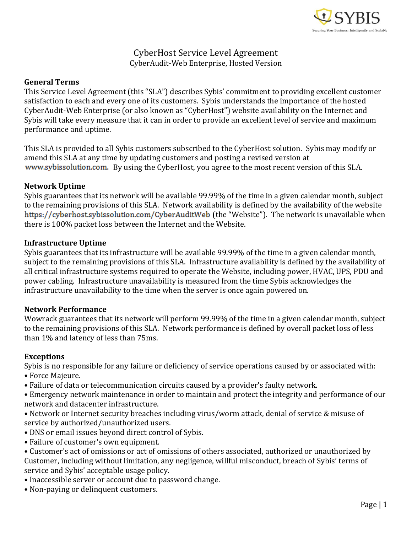

# CyberHost Service Level Agreement CyberAudit-Web Enterprise, Hosted Version

# **General Terms**

This Service Level Agreement (this "SLA") describes Sybis' commitment to providing excellent customer satisfaction to each and every one of its customers. Sybis understands the importance of the hosted CyberAudit-Web Enterprise (or also known as "CyberHost") website availability on the Internet and Sybis will take every measure that it can in order to provide an excellent level of service and maximum performance and uptime.

This SLA is provided to all Sybis customers subscribed to the CyberHost solution. Sybis may modify or amend this SLA at any time by updating customers and posting a revised version at www.sybissolution.com. By using the CyberHost, you agree to the most recent version of this SLA.

## **Network Uptime**

Sybis guarantees that its network will be available 99.99% of the time in a given calendar month, subject to the remaining provisions of this SLA. Network availability is defined by the availability of the website https://cyberhost.sybissolution.com/CyberAuditWeb (the "Website"). The network is unavailable when there is 100% packet loss between the Internet and the Website.

## **Infrastructure Uptime**

Sybis guarantees that its infrastructure will be available 99.99% of the time in a given calendar month, subject to the remaining provisions of this SLA. Infrastructure availability is defined by the availability of all critical infrastructure systems required to operate the Website, including power, HVAC, UPS, PDU and power cabling. Infrastructure unavailability is measured from the time Sybis acknowledges the infrastructure unavailability to the time when the server is once again powered on.

#### **Network Performance**

Wowrack guarantees that its network will perform 99.99% of the time in a given calendar month, subject to the remaining provisions of this SLA. Network performance is defined by overall packet loss of less than 1% and latency of less than 75ms.

# **Exceptions**

Sybis is no responsible for any failure or deficiency of service operations caused by or associated with: • Force Majeure.

• Failure of data or telecommunication circuits caused by a provider's faulty network.

• Emergency network maintenance in order to maintain and protect the integrity and performance of our network and datacenter infrastructure.

- Network or Internet security breaches including virus/worm attack, denial of service & misuse of service by authorized/unauthorized users.
- DNS or email issues beyond direct control of Sybis.
- Failure of customer's own equipment.
- Customer's act of omissions or act of omissions of others associated, authorized or unauthorized by Customer, including without limitation, any negligence, willful misconduct, breach of Sybis' terms of service and Sybis' acceptable usage policy.
- Inaccessible server or account due to password change.
- Non-paying or delinquent customers.